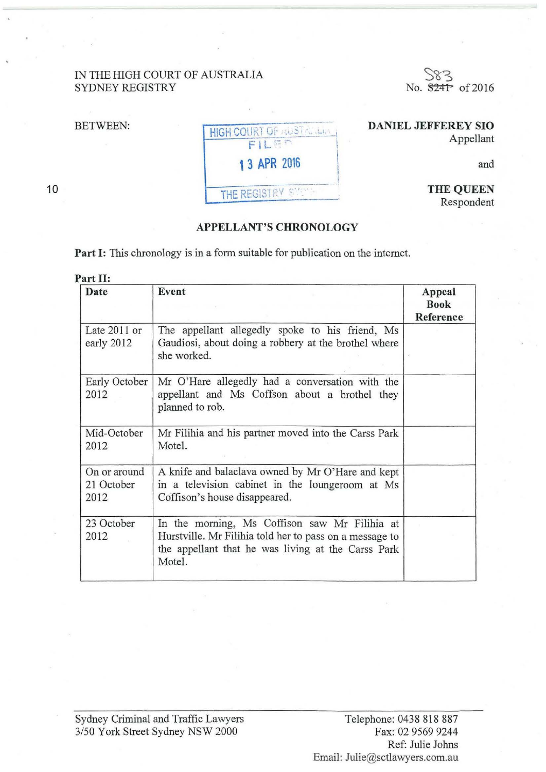## IN THE HIGH COURT OF AUSTRALIA SYDNEY REGISTRY



10



## **DANIEL JEFFEREY SIO**

Appellant

and

**THE QUEEN**  Respondent

## **APPELLANT'S CHRONOLOGY**

Part I: This chronology is in a form suitable for publication on the internet.

| Part II:                           |                                                                                                                                                                          |                                    |  |
|------------------------------------|--------------------------------------------------------------------------------------------------------------------------------------------------------------------------|------------------------------------|--|
| Date                               | Event                                                                                                                                                                    | Appeal<br><b>Book</b><br>Reference |  |
| Late 2011 or<br>early 2012         | The appellant allegedly spoke to his friend, Ms<br>Gaudiosi, about doing a robbery at the brothel where<br>she worked.                                                   |                                    |  |
| Early October<br>2012              | Mr O'Hare allegedly had a conversation with the<br>appellant and Ms Coffson about a brothel they<br>planned to rob.                                                      |                                    |  |
| Mid-October<br>2012                | Mr Filihia and his partner moved into the Carss Park<br>Motel.                                                                                                           |                                    |  |
| On or around<br>21 October<br>2012 | A knife and balaclava owned by Mr O'Hare and kept<br>in a television cabinet in the loungeroom at Ms<br>Coffison's house disappeared.                                    |                                    |  |
| 23 October<br>2012                 | In the morning, Ms Coffison saw Mr Filihia at<br>Hurstville. Mr Filihia told her to pass on a message to<br>the appellant that he was living at the Carss Park<br>Motel. |                                    |  |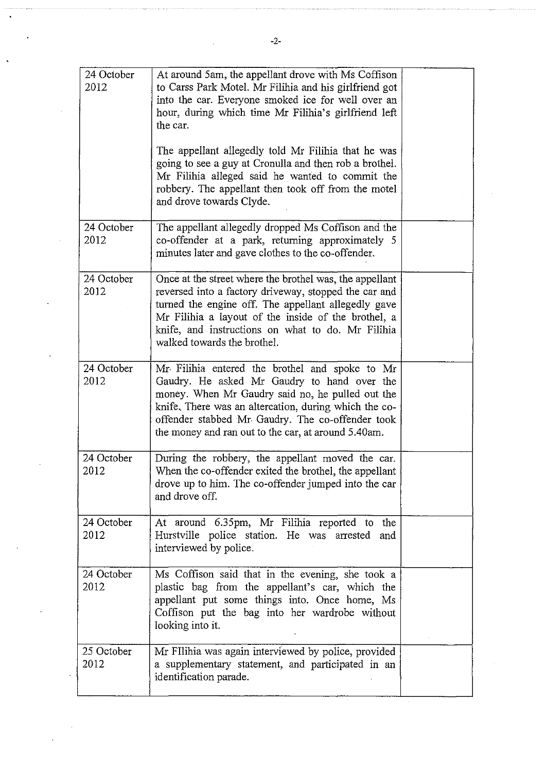| 24 October<br>2012 | At around 5am, the appellant drove with Ms Coffison<br>to Carss Park Motel. Mr Filihia and his girlfriend got<br>into the car. Everyone smoked ice for well over an<br>hour, during which time Mr Filihia's girlfriend left<br>the car.                                                                                |  |
|--------------------|------------------------------------------------------------------------------------------------------------------------------------------------------------------------------------------------------------------------------------------------------------------------------------------------------------------------|--|
|                    | The appellant allegedly told Mr Filihia that he was<br>going to see a guy at Cronulla and then rob a brothel.<br>Mr Filihia alleged said he wanted to commit the<br>robbery. The appellant then took off from the motel<br>and drove towards Clyde.                                                                    |  |
| 24 October<br>2012 | The appellant allegedly dropped Ms Coffison and the<br>co-offender at a park, returning approximately 5<br>minutes later and gave clothes to the co-offender.                                                                                                                                                          |  |
| 24 October<br>2012 | Once at the street where the brothel was, the appellant<br>reversed into a factory driveway, stopped the car and<br>turned the engine off. The appellant allegedly gave<br>Mr Filihia a layout of the inside of the brothel, a<br>knife, and instructions on what to do. Mr Filihia<br>walked towards the brothel.     |  |
| 24 October<br>2012 | Mr. Filihia entered the brothel and spoke to Mr<br>Gaudry. He asked Mr Gaudry to hand over the<br>money. When Mr Gaudry said no, he pulled out the<br>knife. There was an altercation, during which the co-<br>offender stabbed Mr Gaudry. The co-offender took<br>the money and ran out to the car, at around 5.40am. |  |
| 24 October<br>2012 | During the robbery, the appellant moved the car.<br>When the co-offender exited the brothel, the appellant<br>drove up to him. The co-offender jumped into the car<br>and drove off.                                                                                                                                   |  |
| 24 October<br>2012 | At around 6.35pm, Mr Filihia reported to the<br>Hurstville police station. He was arrested and<br>interviewed by police.                                                                                                                                                                                               |  |
| 24 October<br>2012 | Ms Coffison said that in the evening, she took a<br>plastic bag from the appellant's car, which the<br>appellant put some things into. Once home, Ms<br>Coffison put the bag into her wardrobe without<br>looking into it.                                                                                             |  |
| 25 October<br>2012 | Mr FII hia was again interviewed by police, provided<br>a supplementary statement, and participated in an<br>identification parade.                                                                                                                                                                                    |  |

 $\mathcal{L}_{\mathcal{A}}$ 

 $\ddot{\phantom{0}}$ 

 $\ddot{\phantom{0}}$ 

 $\hat{\mathcal{A}}$ 

 $\hat{\mathcal{A}}$ 

l,

 $\ddot{\phantom{a}}$ 

 $\bar{z}$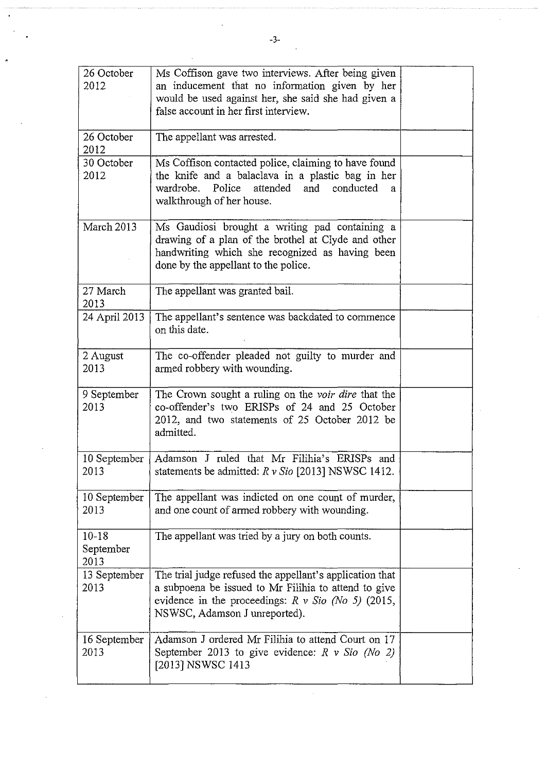| 26 October           | Ms Coffison gave two interviews. After being given                                                            |  |
|----------------------|---------------------------------------------------------------------------------------------------------------|--|
| 2012                 | an inducement that no information given by her                                                                |  |
|                      | would be used against her, she said she had given a                                                           |  |
|                      | false account in her first interview.                                                                         |  |
|                      |                                                                                                               |  |
| 26 October           | The appellant was arrested.                                                                                   |  |
| 2012                 |                                                                                                               |  |
| 30 October           | Ms Coffison contacted police, claiming to have found                                                          |  |
| 2012                 | the knife and a balaclava in a plastic bag in her<br>wardrobe.<br>Police<br>attended<br>and<br>conducted<br>a |  |
|                      | walkthrough of her house.                                                                                     |  |
|                      |                                                                                                               |  |
| March 2013           | Ms Gaudiosi brought a writing pad containing a                                                                |  |
|                      | drawing of a plan of the brothel at Clyde and other                                                           |  |
|                      | handwriting which she recognized as having been                                                               |  |
|                      | done by the appellant to the police.                                                                          |  |
|                      |                                                                                                               |  |
| 27 March             | The appellant was granted bail.                                                                               |  |
| 2013                 |                                                                                                               |  |
| 24 April 2013        | The appellant's sentence was backdated to commence                                                            |  |
|                      | on this date.                                                                                                 |  |
| 2 August             | The co-offender pleaded not guilty to murder and                                                              |  |
| 2013                 | armed robbery with wounding.                                                                                  |  |
|                      |                                                                                                               |  |
| 9 September          | The Crown sought a ruling on the voir dire that the                                                           |  |
| 2013                 | co-offender's two ERISPs of 24 and 25 October                                                                 |  |
|                      | 2012, and two statements of 25 October 2012 be                                                                |  |
|                      | admitted.                                                                                                     |  |
|                      |                                                                                                               |  |
| 10 September         | Adamson J ruled that Mr Filihia's ERISPs and                                                                  |  |
| 2013                 | statements be admitted: $R v Sio$ [2013] NSWSC 1412.                                                          |  |
|                      | The appellant was indicted on one count of murder,                                                            |  |
| 10 September<br>2013 | and one count of armed robbery with wounding.                                                                 |  |
|                      |                                                                                                               |  |
| $10 - 18$            | The appellant was tried by a jury on both counts.                                                             |  |
| September            |                                                                                                               |  |
| 2013                 |                                                                                                               |  |
| 13 September         | The trial judge refused the appellant's application that                                                      |  |
| 2013                 | a subpoena be issued to Mr Filihia to attend to give                                                          |  |
|                      | evidence in the proceedings: $R \nu$ Sio (No 5) (2015,                                                        |  |
|                      | NSWSC, Adamson J unreported).                                                                                 |  |
|                      |                                                                                                               |  |
| 16 September         | Adamson J ordered Mr Filihia to attend Court on 17                                                            |  |
| 2013                 | September 2013 to give evidence: $R \nu$ Sio (No 2)<br>[2013] NSWSC 1413                                      |  |
|                      |                                                                                                               |  |
|                      |                                                                                                               |  |